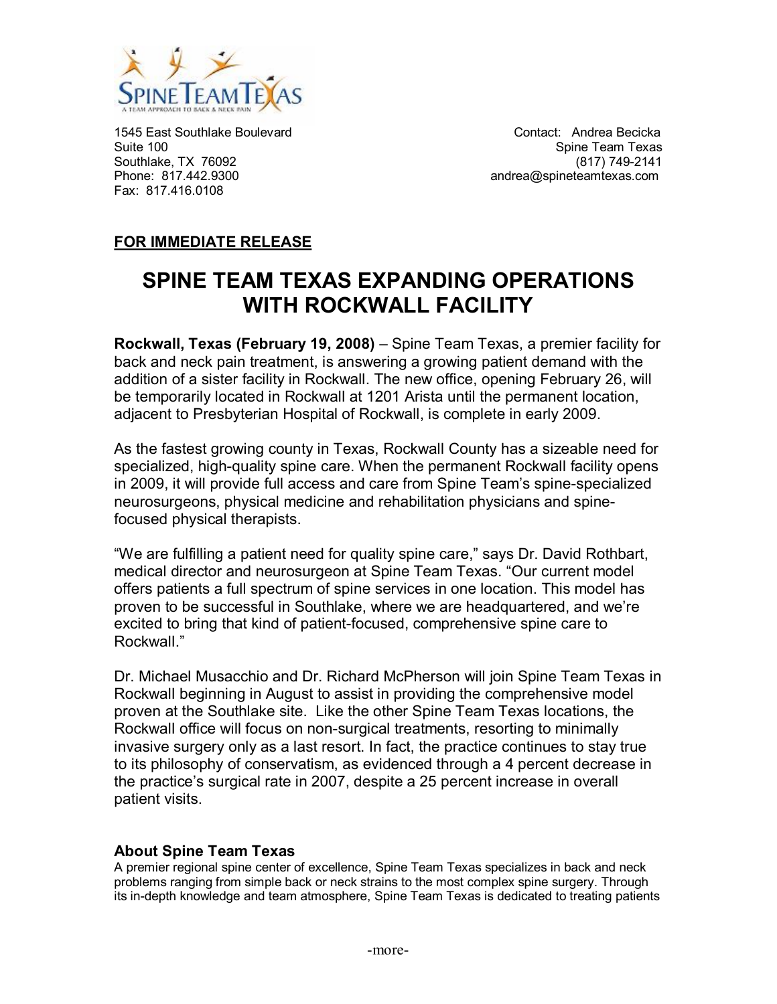

1545 East Southlake Boulevard<br>
Suite 100<br>
Spine Team Texas Southlake, TX 76092 (817) 861 (817) 749-2141<br>Phone: 817.442.9300 (895) 862 (817) 862 (817) 864 (817) 875 (817) 876 (817) 876 (817) 876 (817) 885 (828 (828 Fax: 817.416.0108

Spine Team Texas andrea@spineteamtexas.com

## **FOR IMMEDIATE RELEASE**

# **SPINE TEAM TEXAS EXPANDING OPERATIONS WITH ROCKWALL FACILITY**

**Rockwall, Texas (February 19, 2008)** – Spine Team Texas, a premier facility for back and neck pain treatment, is answering a growing patient demand with the addition of a sister facility in Rockwall. The new office, opening February 26, will be temporarily located in Rockwall at 1201 Arista until the permanent location, adjacent to Presbyterian Hospital of Rockwall, is complete in early 2009.

As the fastest growing county in Texas, Rockwall County has a sizeable need for specialized, high-quality spine care. When the permanent Rockwall facility opens in 2009, it will provide full access and care from Spine Team's spine-specialized neurosurgeons, physical medicine and rehabilitation physicians and spinefocused physical therapists.

"We are fulfilling a patient need for quality spine care," says Dr. David Rothbart, medical director and neurosurgeon at Spine Team Texas. "Our current model offers patients a full spectrum of spine services in one location. This model has proven to be successful in Southlake, where we are headquartered, and we're excited to bring that kind of patient-focused, comprehensive spine care to Rockwall."

Dr. Michael Musacchio and Dr. Richard McPherson will join Spine Team Texas in Rockwall beginning in August to assist in providing the comprehensive model proven at the Southlake site. Like the other Spine Team Texas locations, the Rockwall office will focus on non-surgical treatments, resorting to minimally invasive surgery only as a last resort. In fact, the practice continues to stay true to its philosophy of conservatism, as evidenced through a 4 percent decrease in the practice's surgical rate in 2007, despite a 25 percent increase in overall patient visits.

### **About Spine Team Texas**

A premier regional spine center of excellence, Spine Team Texas specializes in back and neck problems ranging from simple back or neck strains to the most complex spine surgery. Through its in-depth knowledge and team atmosphere, Spine Team Texas is dedicated to treating patients